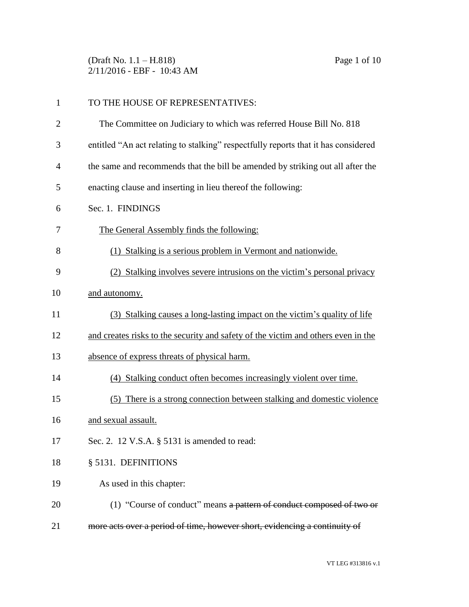(Draft No. 1.1 – H.818) Page 1 of 10 2/11/2016 - EBF - 10:43 AM

| $\mathbf{1}$   | TO THE HOUSE OF REPRESENTATIVES:                                                   |
|----------------|------------------------------------------------------------------------------------|
| $\overline{2}$ | The Committee on Judiciary to which was referred House Bill No. 818                |
| 3              | entitled "An act relating to stalking" respectfully reports that it has considered |
| 4              | the same and recommends that the bill be amended by striking out all after the     |
| 5              | enacting clause and inserting in lieu thereof the following:                       |
| 6              | Sec. 1. FINDINGS                                                                   |
| 7              | The General Assembly finds the following:                                          |
| 8              | (1) Stalking is a serious problem in Vermont and nationwide.                       |
| 9              | (2) Stalking involves severe intrusions on the victim's personal privacy           |
| 10             | and autonomy.                                                                      |
| 11             | (3) Stalking causes a long-lasting impact on the victim's quality of life          |
| 12             | and creates risks to the security and safety of the victim and others even in the  |
| 13             | absence of express threats of physical harm.                                       |
| 14             | (4) Stalking conduct often becomes increasingly violent over time.                 |
| 15             | (5) There is a strong connection between stalking and domestic violence            |
| 16             | and sexual assault.                                                                |
| 17             | Sec. 2. 12 V.S.A. § 5131 is amended to read:                                       |
| 18             | § 5131. DEFINITIONS                                                                |
| 19             | As used in this chapter:                                                           |
| 20             | (1) "Course of conduct" means a pattern of conduct composed of two or              |
| 21             | more acts over a period of time, however short, evidencing a continuity of         |
|                |                                                                                    |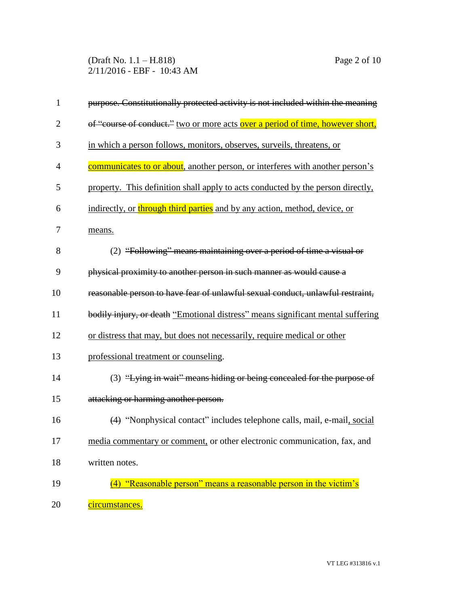(Draft No. 1.1 – H.818) Page 2 of 10 2/11/2016 - EBF - 10:43 AM

| $\mathbf{1}$   | purpose. Constitutionally protected activity is not included within the meaning |
|----------------|---------------------------------------------------------------------------------|
| $\overline{2}$ | of "course of conduct." two or more acts over a period of time, however short,  |
| 3              | in which a person follows, monitors, observes, surveils, threatens, or          |
| $\overline{4}$ | communicates to or about, another person, or interferes with another person's   |
| 5              | property. This definition shall apply to acts conducted by the person directly, |
| 6              | indirectly, or through third parties and by any action, method, device, or      |
| 7              | means.                                                                          |
| 8              | (2) "Following" means maintaining over a period of time a visual or             |
| 9              | physical proximity to another person in such manner as would cause a            |
| 10             | reasonable person to have fear of unlawful sexual conduct, unlawful restraint,  |
| 11             | bodily injury, or death "Emotional distress" means significant mental suffering |
| 12             | or distress that may, but does not necessarily, require medical or other        |
| 13             | professional treatment or counseling.                                           |
| 14             | (3) "Lying in wait" means hiding or being concealed for the purpose of          |
| 15             | attacking or harming another person.                                            |
| 16             | (4) "Nonphysical contact" includes telephone calls, mail, e-mail, social        |
| 17             | media commentary or comment, or other electronic communication, fax, and        |
| 18             | written notes.                                                                  |
| 19             | (4) "Reasonable person" means a reasonable person in the victim's               |
| 20             | circumstances.                                                                  |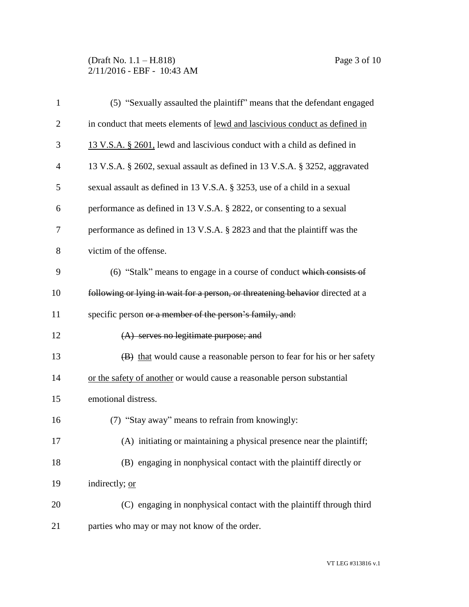## (Draft No. 1.1 – H.818) Page 3 of 10 2/11/2016 - EBF - 10:43 AM

| $\mathbf{1}$   | (5) "Sexually assaulted the plaintiff" means that the defendant engaged        |
|----------------|--------------------------------------------------------------------------------|
| $\overline{2}$ | in conduct that meets elements of lewd and lascivious conduct as defined in    |
| 3              | 13 V.S.A. § 2601, lewd and lascivious conduct with a child as defined in       |
| 4              | 13 V.S.A. § 2602, sexual assault as defined in 13 V.S.A. § 3252, aggravated    |
| 5              | sexual assault as defined in 13 V.S.A. § 3253, use of a child in a sexual      |
| 6              | performance as defined in 13 V.S.A. § 2822, or consenting to a sexual          |
| 7              | performance as defined in 13 V.S.A. § 2823 and that the plaintiff was the      |
| 8              | victim of the offense.                                                         |
| 9              | (6) "Stalk" means to engage in a course of conduct which consists of           |
| 10             | following or lying in wait for a person, or threatening behavior directed at a |
| 11             | specific person or a member of the person's family, and:                       |
| 12             | $(A)$ serves no legitimate purpose; and                                        |
| 13             | (B) that would cause a reasonable person to fear for his or her safety         |
| 14             | or the safety of another or would cause a reasonable person substantial        |
| 15             | emotional distress.                                                            |
| 16             | (7) "Stay away" means to refrain from knowingly:                               |
| 17             | (A) initiating or maintaining a physical presence near the plaintiff;          |
| 18             | (B) engaging in nonphysical contact with the plaintiff directly or             |
| 19             | indirectly; or                                                                 |
| 20             | (C) engaging in nonphysical contact with the plaintiff through third           |
| 21             | parties who may or may not know of the order.                                  |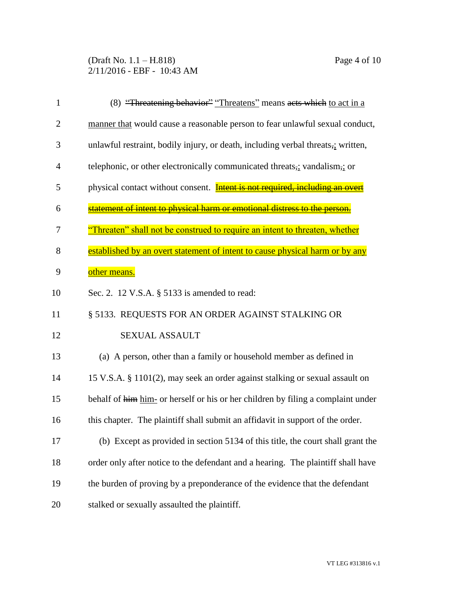(Draft No. 1.1 – H.818) Page 4 of 10 2/11/2016 - EBF - 10:43 AM

| $\mathbf{1}$   | (8) "Threatening behavior" "Threatens" means acts which to act in a                 |
|----------------|-------------------------------------------------------------------------------------|
| $\overline{c}$ | manner that would cause a reasonable person to fear unlawful sexual conduct,        |
| 3              | unlawful restraint, bodily injury, or death, including verbal threats,; written,    |
| 4              | telephonic, or other electronically communicated threats,; vandalism,; or           |
| 5              | physical contact without consent. <b>Intent is not required, including an overt</b> |
| 6              | statement of intent to physical harm or emotional distress to the person.           |
| 7              | "Threaten" shall not be construed to require an intent to threaten, whether         |
| 8              | established by an overt statement of intent to cause physical harm or by any        |
| 9              | other means.                                                                        |
| 10             | Sec. 2. 12 V.S.A. § 5133 is amended to read:                                        |
| 11             | § 5133. REQUESTS FOR AN ORDER AGAINST STALKING OR                                   |
| 12             | <b>SEXUAL ASSAULT</b>                                                               |
| 13             | (a) A person, other than a family or household member as defined in                 |
| 14             | 15 V.S.A. § 1101(2), may seek an order against stalking or sexual assault on        |
| 15             | behalf of him him- or herself or his or her children by filing a complaint under    |
| 16             | this chapter. The plaintiff shall submit an affidavit in support of the order.      |
| 17             | (b) Except as provided in section 5134 of this title, the court shall grant the     |
| 18             | order only after notice to the defendant and a hearing. The plaintiff shall have    |
| 19             | the burden of proving by a preponderance of the evidence that the defendant         |
| 20             | stalked or sexually assaulted the plaintiff.                                        |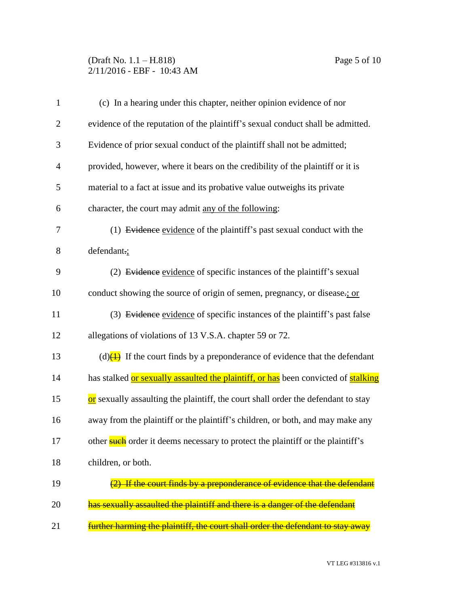## (Draft No. 1.1 – H.818) Page 5 of 10 2/11/2016 - EBF - 10:43 AM

| $\mathbf{1}$   | (c) In a hearing under this chapter, neither opinion evidence of nor                                |
|----------------|-----------------------------------------------------------------------------------------------------|
| $\overline{2}$ | evidence of the reputation of the plaintiff's sexual conduct shall be admitted.                     |
| 3              | Evidence of prior sexual conduct of the plaintiff shall not be admitted;                            |
| $\overline{4}$ | provided, however, where it bears on the credibility of the plaintiff or it is                      |
| 5              | material to a fact at issue and its probative value outweighs its private                           |
| 6              | character, the court may admit any of the following:                                                |
| $\tau$         | (1) Evidence evidence of the plaintiff's past sexual conduct with the                               |
| 8              | defendant.;                                                                                         |
| 9              | (2) Evidence evidence of specific instances of the plaintiff's sexual                               |
| 10             | conduct showing the source of origin of semen, pregnancy, or disease-; or                           |
| 11             | (3) Evidence evidence of specific instances of the plaintiff's past false                           |
| 12             | allegations of violations of 13 V.S.A. chapter 59 or 72.                                            |
| 13             | (d) $\left(\frac{1}{2}\right)$ If the court finds by a preponderance of evidence that the defendant |
| 14             | has stalked or sexually assaulted the plaintiff, or has been convicted of stalking                  |
| 15             | or sexually assaulting the plaintiff, the court shall order the defendant to stay                   |
| 16             | away from the plaintiff or the plaintiff's children, or both, and may make any                      |
| 17             | other such order it deems necessary to protect the plaintiff or the plaintiff's                     |
| 18             | children, or both.                                                                                  |
| 19             | If the court finds by a preponderance of evidence that the defendant                                |
| 20             | has sexually assaulted the plaintiff and there is a danger of the defendant                         |
| 21             | further harming the plaintiff, the court shall order the defendant to stay away                     |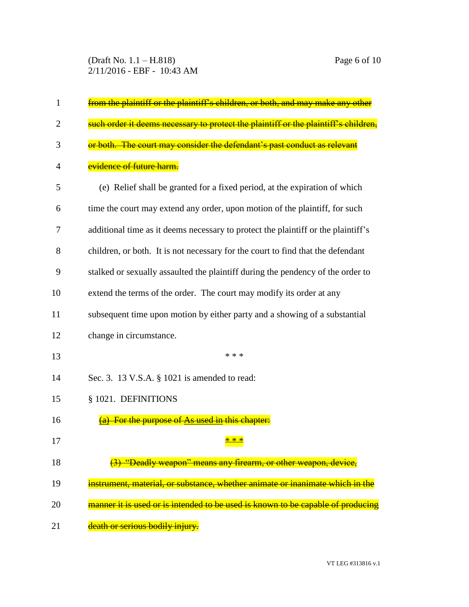(Draft No. 1.1 – H.818) Page 6 of 10 2/11/2016 - EBF - 10:43 AM

| 1              | from the plaintiff or the plaintiff's children, or both, and may make any other     |
|----------------|-------------------------------------------------------------------------------------|
| $\overline{2}$ | such order it deems necessary to protect the plaintiff or the plaintiff's children, |
| 3              | or both. The court may consider the defendant's past conduct as relevant            |
| 4              | <mark>evidence of future harm.</mark>                                               |
| 5              | (e) Relief shall be granted for a fixed period, at the expiration of which          |
| 6              | time the court may extend any order, upon motion of the plaintiff, for such         |
| 7              | additional time as it deems necessary to protect the plaintiff or the plaintiff's   |
| 8              | children, or both. It is not necessary for the court to find that the defendant     |
| 9              | stalked or sexually assaulted the plaintiff during the pendency of the order to     |
| 10             | extend the terms of the order. The court may modify its order at any                |
| 11             | subsequent time upon motion by either party and a showing of a substantial          |
| 12             | change in circumstance.                                                             |
| 13             | * * *                                                                               |
| 14             | Sec. 3. 13 V.S.A. § 1021 is amended to read:                                        |
| 15             | § 1021. DEFINITIONS                                                                 |
| 16             | For the purpose of As used in this chapter:                                         |
| 17             | <u>* * *</u>                                                                        |
| 18             | (3) "Deadly weapon" means any firearm, or other weapon, device,                     |
| 19             | instrument, material, or substance, whether animate or inanimate which in the       |
| 20             | manner it is used or is intended to be used is known to be capable of producing     |
| 21             | death or serious bodily injury.                                                     |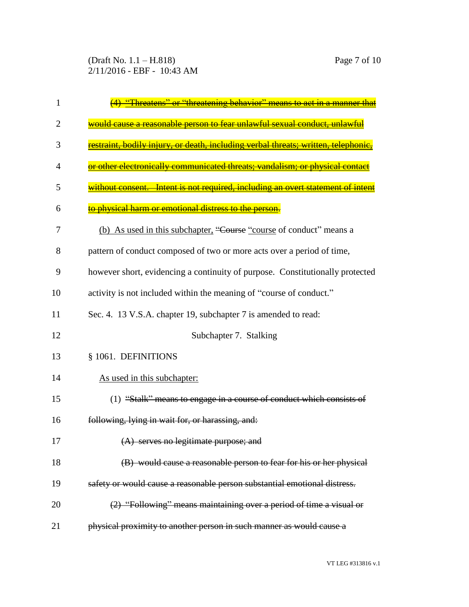(Draft No. 1.1 – H.818) Page 7 of 10 2/11/2016 - EBF - 10:43 AM

| 1  | <u> Fhreatens'' or ''threatening behavior'' means to act in a manner that</u>           |
|----|-----------------------------------------------------------------------------------------|
| 2  | would cause a reasonable person to fear unlawful sexual conduct, unlawful               |
| 3  | <u>estraint, bodily injury, or death, including verbal threats; written, telephonic</u> |
| 4  | or other electronically communicated threats; vandalism; or physical contact            |
| 5  | without consent. Intent is not required, including an overt statement of intent         |
| 6  | physical harm or emotional distress to the person                                       |
| 7  | (b) As used in this subchapter, "Course "course of conduct" means a                     |
| 8  | pattern of conduct composed of two or more acts over a period of time,                  |
| 9  | however short, evidencing a continuity of purpose. Constitutionally protected           |
| 10 | activity is not included within the meaning of "course of conduct."                     |
| 11 | Sec. 4. 13 V.S.A. chapter 19, subchapter 7 is amended to read:                          |
| 12 | Subchapter 7. Stalking                                                                  |
| 13 | § 1061. DEFINITIONS                                                                     |
| 14 | As used in this subchapter:                                                             |
| 15 | (1) "Stalk" means to engage in a course of conduct which consists                       |
| 16 | following, lying in wait for, or harassing, and:                                        |
| 17 | (A) serves no legitimate purpose; and                                                   |
| 18 | (B) would cause a reasonable person to fear for his or her physical                     |
| 19 | safety or would cause a reasonable person substantial emotional distress.               |
| 20 | (2) "Following" means maintaining over a period of time a visual or                     |
| 21 | physical proximity to another person in such manner as would cause a                    |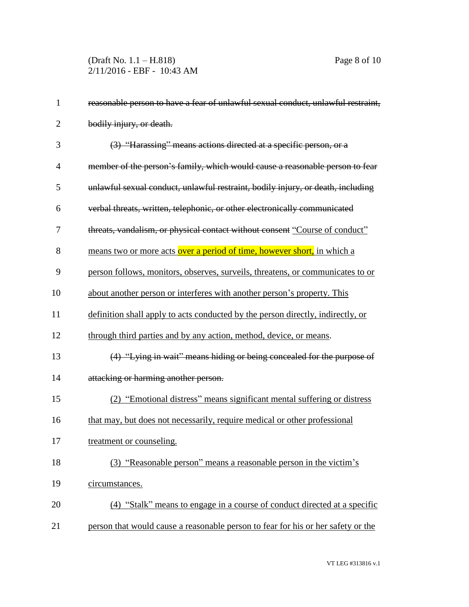(Draft No. 1.1 – H.818) Page 8 of 10 2/11/2016 - EBF - 10:43 AM

| $\mathbf{1}$   | reasonable person to have a fear of unlawful sexual conduct, unlawful restraint, |
|----------------|----------------------------------------------------------------------------------|
| $\overline{2}$ | bodily injury, or death.                                                         |
| 3              | (3) "Harassing" means actions directed at a specific person, or a                |
| $\overline{4}$ | member of the person's family, which would cause a reasonable person to fear     |
| 5              | unlawful sexual conduct, unlawful restraint, bodily injury, or death, including  |
| 6              | verbal threats, written, telephonic, or other electronically communicated        |
| 7              | threats, vandalism, or physical contact without consent "Course of conduct"      |
| 8              | means two or more acts over a period of time, however short, in which a          |
| 9              | person follows, monitors, observes, surveils, threatens, or communicates to or   |
| 10             | about another person or interferes with another person's property. This          |
| 11             | definition shall apply to acts conducted by the person directly, indirectly, or  |
| 12             | through third parties and by any action, method, device, or means.               |
| 13             | (4) "Lying in wait" means hiding or being concealed for the purpose of           |
| 14             | attacking or harming another person.                                             |
| 15             | (2) "Emotional distress" means significant mental suffering or distress          |
| 16             | that may, but does not necessarily, require medical or other professional        |
| 17             | treatment or counseling.                                                         |
| 18             | (3) "Reasonable person" means a reasonable person in the victim's                |
| 19             | circumstances.                                                                   |
| 20             | (4) "Stalk" means to engage in a course of conduct directed at a specific        |
| 21             | person that would cause a reasonable person to fear for his or her safety or the |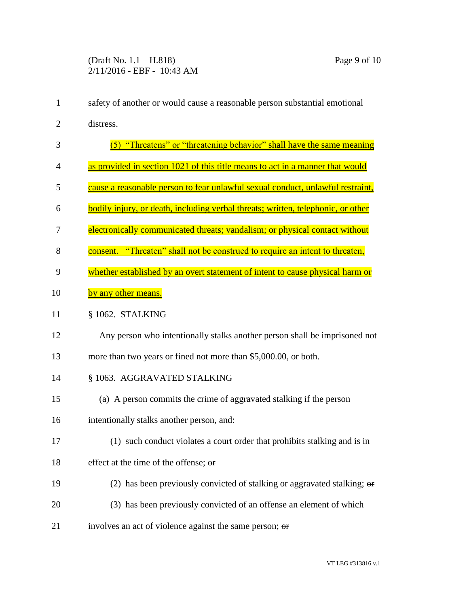| $\mathbf{1}$ | safety of another or would cause a reasonable person substantial emotional       |
|--------------|----------------------------------------------------------------------------------|
| 2            | distress.                                                                        |
| 3            | (5) "Threatens" or "threatening behavior" shall have the same meaning            |
| 4            | as provided in section 1021 of this title means to act in a manner that would    |
| 5            | cause a reasonable person to fear unlawful sexual conduct, unlawful restraint,   |
| 6            | bodily injury, or death, including verbal threats; written, telephonic, or other |
| 7            | electronically communicated threats; vandalism; or physical contact without      |
| 8            | consent. "Threaten" shall not be construed to require an intent to threaten,     |
| 9            | whether established by an overt statement of intent to cause physical harm or    |
| 10           | by any other means.                                                              |
| 11           | § 1062. STALKING                                                                 |
| 12           | Any person who intentionally stalks another person shall be imprisoned not       |
| 13           | more than two years or fined not more than \$5,000.00, or both.                  |
| 14           | § 1063. AGGRAVATED STALKING                                                      |
| 15           | (a) A person commits the crime of aggravated stalking if the person              |
| 16           | intentionally stalks another person, and:                                        |
| 17           | (1) such conduct violates a court order that prohibits stalking and is in        |
| 18           | effect at the time of the offense; or                                            |
| 19           | (2) has been previously convicted of stalking or aggravated stalking; $\theta$   |
| 20           | (3) has been previously convicted of an offense an element of which              |
| 21           | involves an act of violence against the same person; or                          |